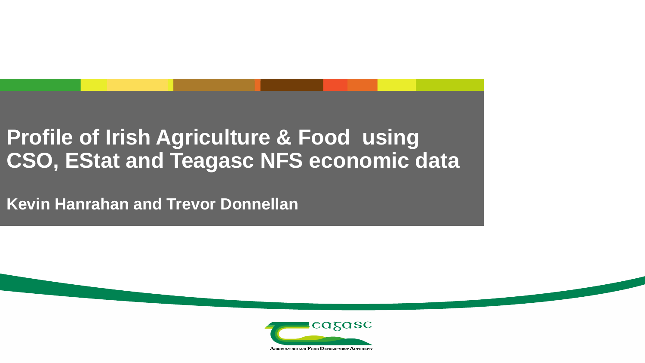#### **Profile of Irish Agriculture & Food using CSO, EStat and Teagasc NFS economic data**

**Kevin Hanrahan and Trevor Donnellan**

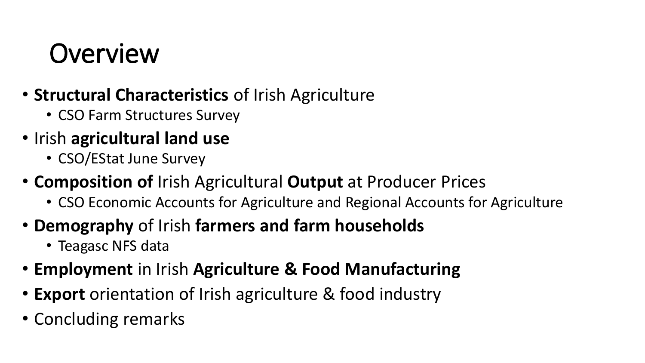## **Overview**

- **Structural Characteristics** of Irish Agriculture
	- CSO Farm Structures Survey
- Irish **agricultural land use** 
	- CSO/EStat June Survey
- **Composition of** Irish Agricultural **Output** at Producer Prices
	- CSO Economic Accounts for Agriculture and Regional Accounts for Agriculture
- **Demography** of Irish **farmers and farm households**
	- Teagasc NFS data
- **Employment** in Irish **Agriculture & Food Manufacturing**
- **Export** orientation of Irish agriculture & food industry
- Concluding remarks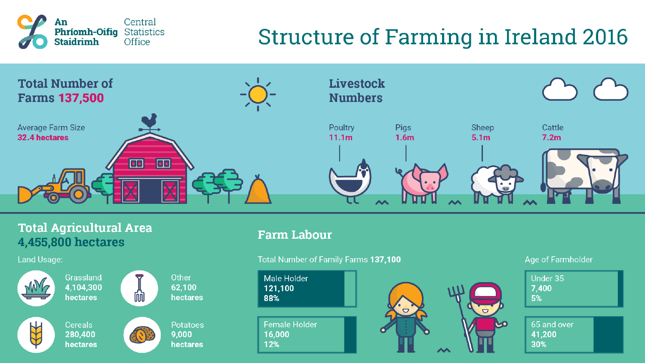

#### **Structure of Farming in Ireland 2016**



#### **Total Agricultural Area** 4,455,800 hectares

Land Usage:



Grassland 4,104,300 hectares

**Cereals** 

280,400

hectares



hectares

 $\mathbb{C}[\mathcal{O}]$ 

**Potatoes** 9.000 hectares

Other

62,100

#### **Farm Labour**



#### **Age of Farmholder**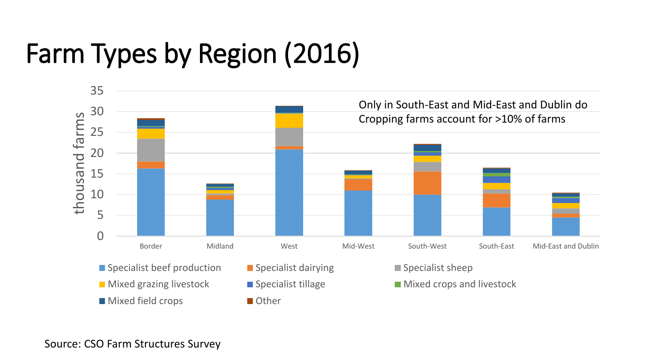# Farm Types by Region (2016)



Source: CSO Farm Structures Survey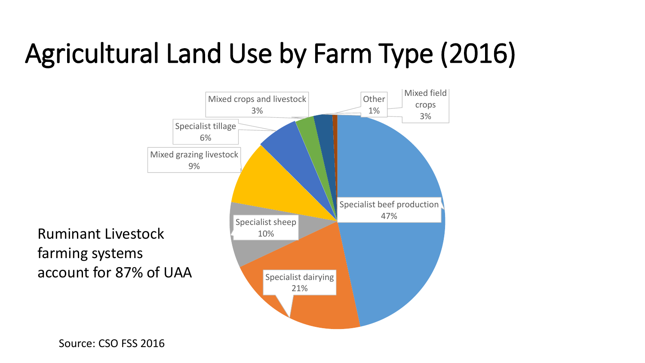# Agricultural Land Use by Farm Type (2016)

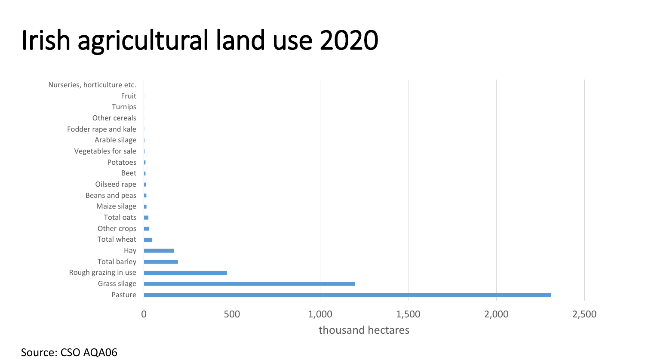# Irish agricultural land use 2020



Source: CSO AQA06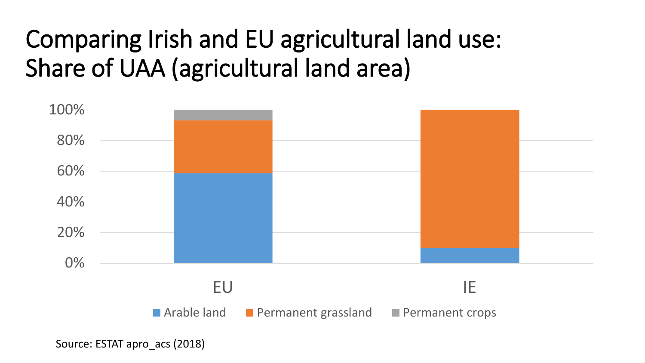### Comparing Irish and EU agricultural land use: Share of UAA (agricultural land area)



Source: ESTAT apro\_acs (2018)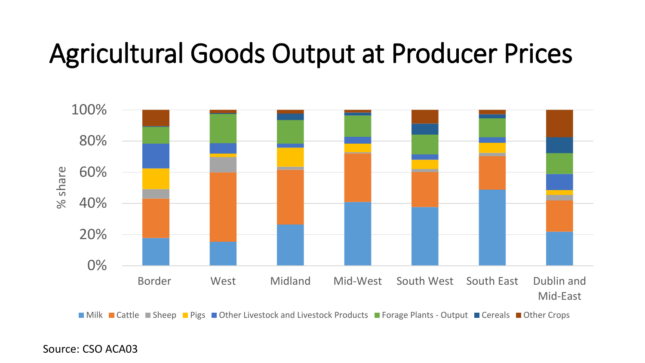## Agricultural Goods Output at Producer Prices



■ Milk ■ Cattle ■ Sheep ■ Pigs ■ Other Livestock and Livestock Products ■ Forage Plants - Output ■ Cereals ■ Other Crops

Source: CSO ACA03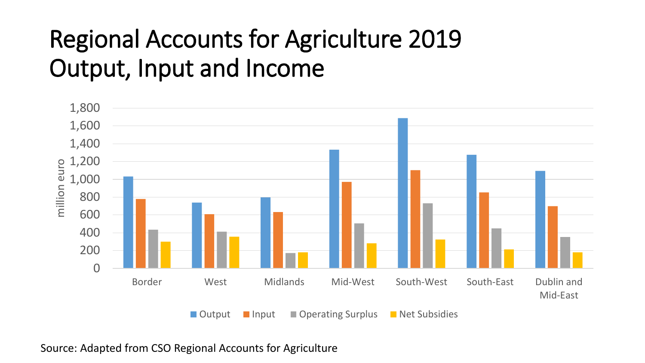### Regional Accounts for Agriculture 2019 Output, Input and Income



Source: Adapted from CSO Regional Accounts for Agriculture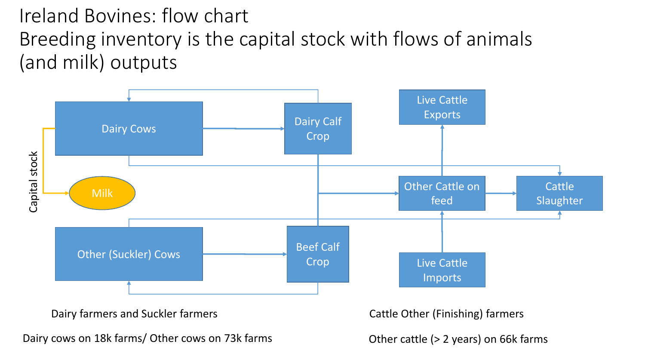#### Ireland Bovines: flow chart Breeding inventory is the capital stock with flows of animals (and milk) outputs



Dairy farmers and Suckler farmers Cattle Other (Finishing) farmers Cattle Other (Finishing) farmers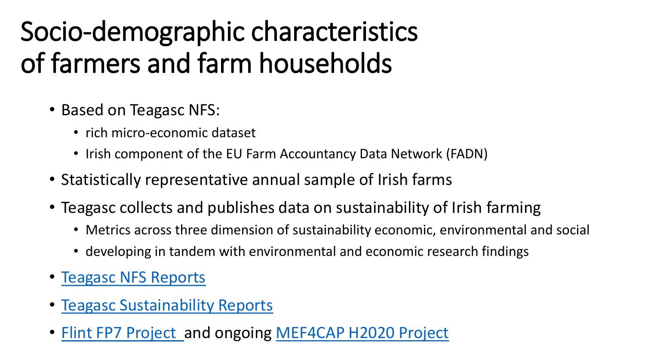# Socio-demographic characteristics of farmers and farm households

- Based on Teagasc NFS:
	- rich micro-economic dataset
	- Irish component of the EU Farm Accountancy Data Network (FADN)
- Statistically representative annual sample of Irish farms
- Teagasc collects and publishes data on sustainability of Irish farming
	- Metrics across three dimension of sustainability economic, environmental and social
	- developing in tandem with environmental and economic research findings
- [Teagasc NFS Reports](https://www.teagasc.ie/rural-economy/rural-economy/national-farm-survey/national-farm-survey-reports/)
- [Teagasc Sustainability Reports](https://www.teagasc.ie/rural-economy/rural-economy/national-farm-survey/sustainability-reports/)
- [Flint FP7 Project](https://www.flint-fp7.eu/) and ongoing [MEF4CAP H2020 Project](https://mef4cap.eu/)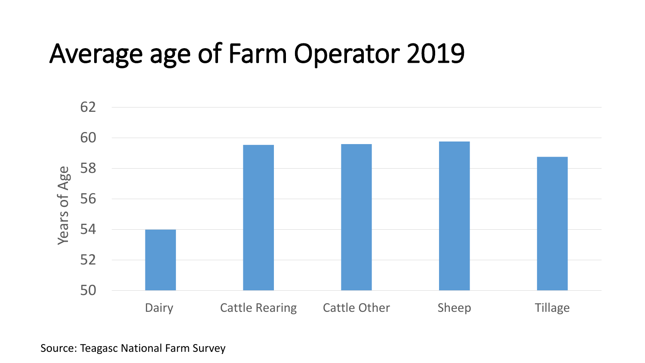## Average age of Farm Operator 2019



Source: Teagasc National Farm Survey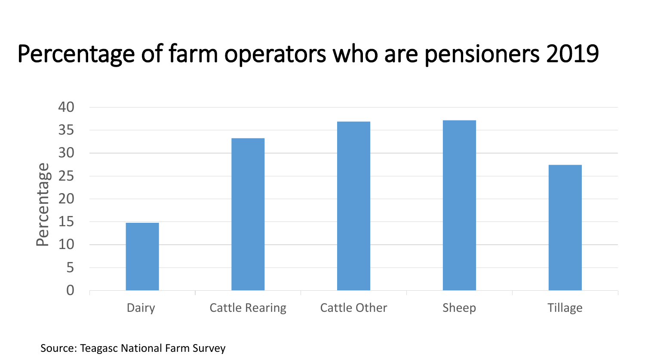#### Percentage of farm operators who are pensioners 2019



Source: Teagasc National Farm Survey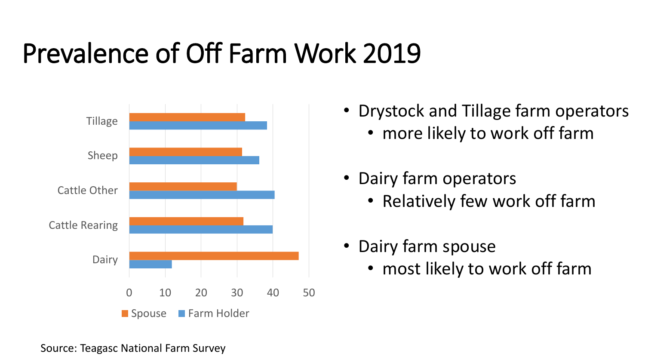# Prevalence of Off Farm Work 2019



- Drystock and Tillage farm operators
	- more likely to work off farm
- Dairy farm operators
	- Relatively few work off farm
- Dairy farm spouse
	- most likely to work off farm

Source: Teagasc National Farm Survey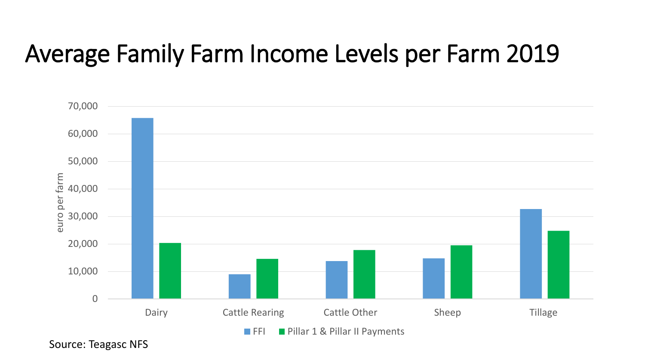### Average Family Farm Income Levels per Farm 2019



Source: Teagasc NFS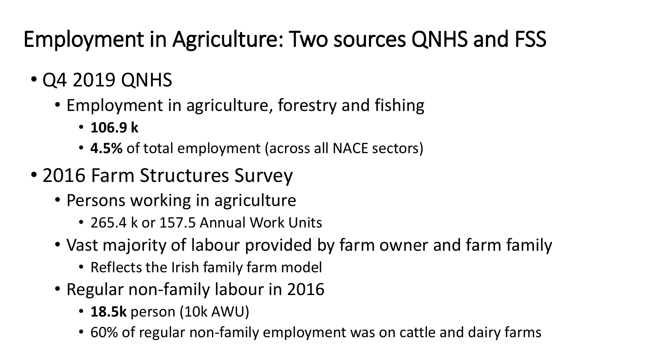#### Employment in Agriculture: Two sources QNHS and FSS

- Q4 2019 QNHS
	- Employment in agriculture, forestry and fishing
		- **106.9 k**
		- **4.5%** of total employment (across all NACE sectors)
- 2016 Farm Structures Survey
	- Persons working in agriculture
		- 265.4 k or 157.5 Annual Work Units
	- Vast majority of labour provided by farm owner and farm family
		- Reflects the Irish family farm model
	- Regular non-family labour in 2016
		- **18.5k** person (10k AWU)
		- 60% of regular non-family employment was on cattle and dairy farms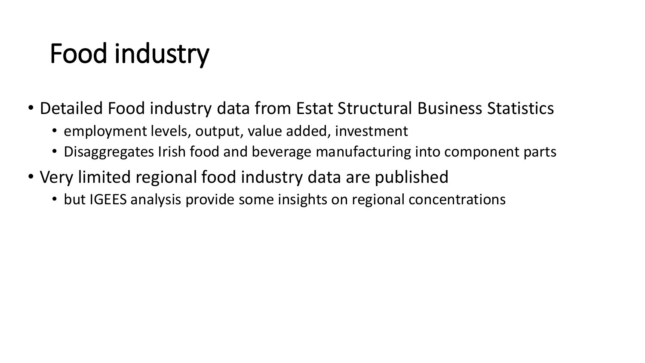# Food industry

- Detailed Food industry data from Estat Structural Business Statistics
	- employment levels, output, value added, investment
	- Disaggregates Irish food and beverage manufacturing into component parts
- Very limited regional food industry data are published
	- but IGEES analysis provide some insights on regional concentrations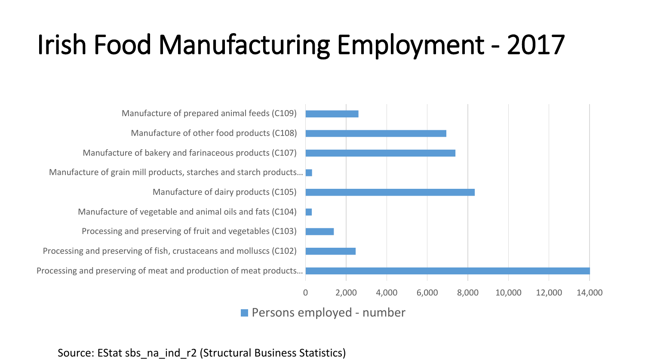# Irish Food Manufacturing Employment - 2017



**Persons employed - number** 

Processing and preserving of meat and production of meat products… Processing and preserving of fish, crustaceans and molluscs (C102) Processing and preserving of fruit and vegetables (C103) Manufacture of vegetable and animal oils and fats (C104) Manufacture of dairy products (C105) Manufacture of grain mill products, starches and starch products... Manufacture of bakery and farinaceous products (C107) Manufacture of other food products (C108) Manufacture of prepared animal feeds (C109)

Source: EStat sbs\_na\_ind\_r2 (Structural Business Statistics)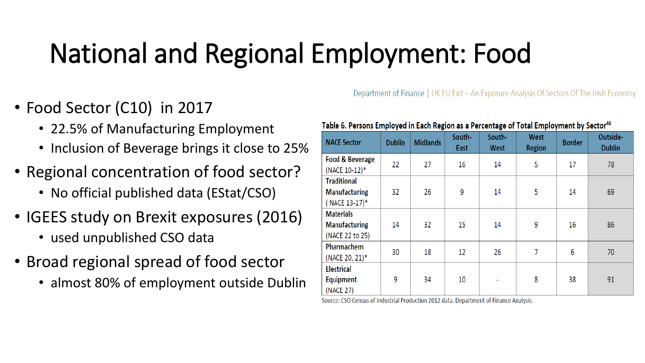# National and Regional Employment: Food

#### • Food Sector (C10) in 2017

- 22.5% of Manufacturing Employment
- Inclusion of Beverage brings it close to 25%
- Regional concentration of food sector?
	- No official published data (EStat/CSO)
- IGEES study on Brexit exposures (2016)
	- used unpublished CSO data
- Broad regional spread of food sector
	- almost 80% of employment outside Dublin

#### Table 6. Persons Employed in Each Region as a Percentage of Total Employment by Sector<sup>48</sup>

Department of Finance | UK EU Exit – An Exposure Analysis Of Sectors Of The Irish Economy

| <b>NACE Sector</b>                                          | <b>Dublin</b> | <b>Midlands</b> | South-<br>East | South-<br><b>West</b> | <b>West</b><br><b>Region</b> | <b>Border</b> | Outside-<br><b>Dublin</b> |
|-------------------------------------------------------------|---------------|-----------------|----------------|-----------------------|------------------------------|---------------|---------------------------|
| Food & Beverage<br>(NACE 10-12)*                            | 22            | 27              | 16             | 14                    | 5                            | 17            | 78                        |
| <b>Traditional</b><br><b>Manufacturing</b><br>(NACE 13-17)* | 32            | 26              | 9              | 14                    | 5                            | 14            | 69                        |
| <b>Materials</b><br><b>Manufacturing</b><br>(NACE 22 to 25) | 14            | 32              | 15             | 14                    | 9                            | 16            | 86                        |
| Pharmachem<br>(NACE 20, 21)*                                | 30            | 18              | 12             | 26                    | 7                            | 6             | 70                        |
| <b>Electrical</b><br><b>Equipment</b><br>(NACE 27)          | 9             | 34              | 10             | ۰                     | 8                            | 38            | 91                        |

Source: CSO Census of Industrial Production 2012 data. Department of Finance Analysis.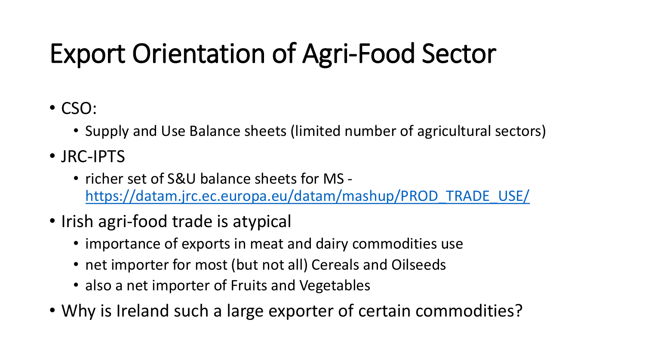# Export Orientation of Agri-Food Sector

- CSO:
	- Supply and Use Balance sheets (limited number of agricultural sectors)
- JRC-IPTS
	- richer set of S&U balance sheets for MS [https://datam.jrc.ec.europa.eu/datam/mashup/PROD\\_TRADE\\_USE/](https://datam.jrc.ec.europa.eu/datam/mashup/PROD_TRADE_USE/)
- Irish agri-food trade is atypical
	- importance of exports in meat and dairy commodities use
	- net importer for most (but not all) Cereals and Oilseeds
	- also a net importer of Fruits and Vegetables
- Why is Ireland such a large exporter of certain commodities?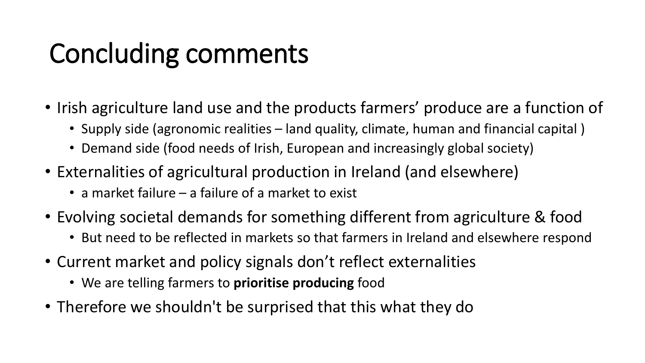# Concluding comments

- Irish agriculture land use and the products farmers' produce are a function of
	- Supply side (agronomic realities land quality, climate, human and financial capital )
	- Demand side (food needs of Irish, European and increasingly global society)
- Externalities of agricultural production in Ireland (and elsewhere)
	- a market failure a failure of a market to exist
- Evolving societal demands for something different from agriculture & food
	- But need to be reflected in markets so that farmers in Ireland and elsewhere respond
- Current market and policy signals don't reflect externalities
	- We are telling farmers to **prioritise producing** food
- Therefore we shouldn't be surprised that this what they do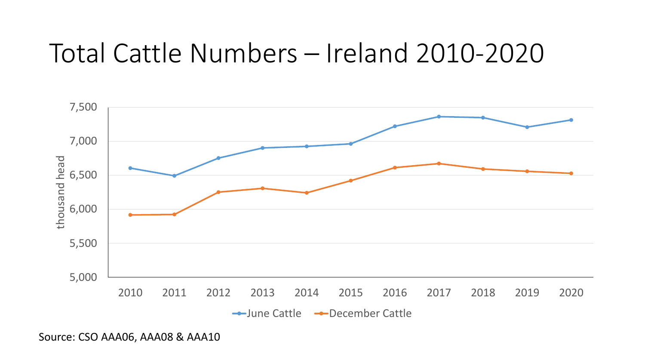### Total Cattle Numbers – Ireland 2010-2020



Source: CSO AAA06, AAA08 & AAA10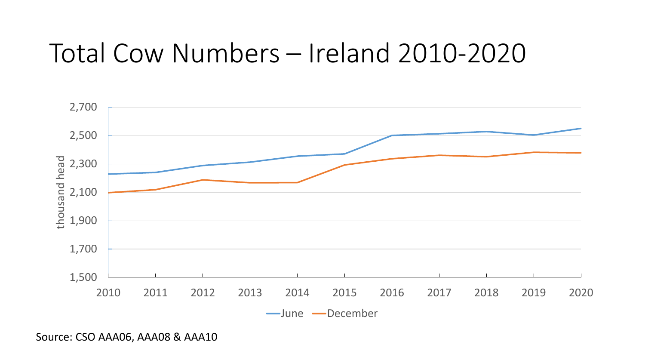### Total Cow Numbers – Ireland 2010-2020



Source: CSO AAA06, AAA08 & AAA10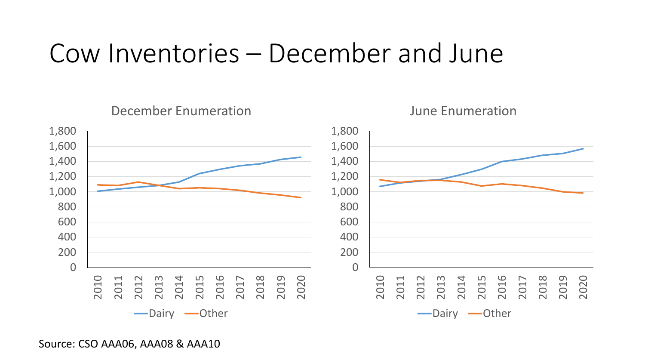#### Cow Inventories – December and June



Source: CSO AAA06, AAA08 & AAA10